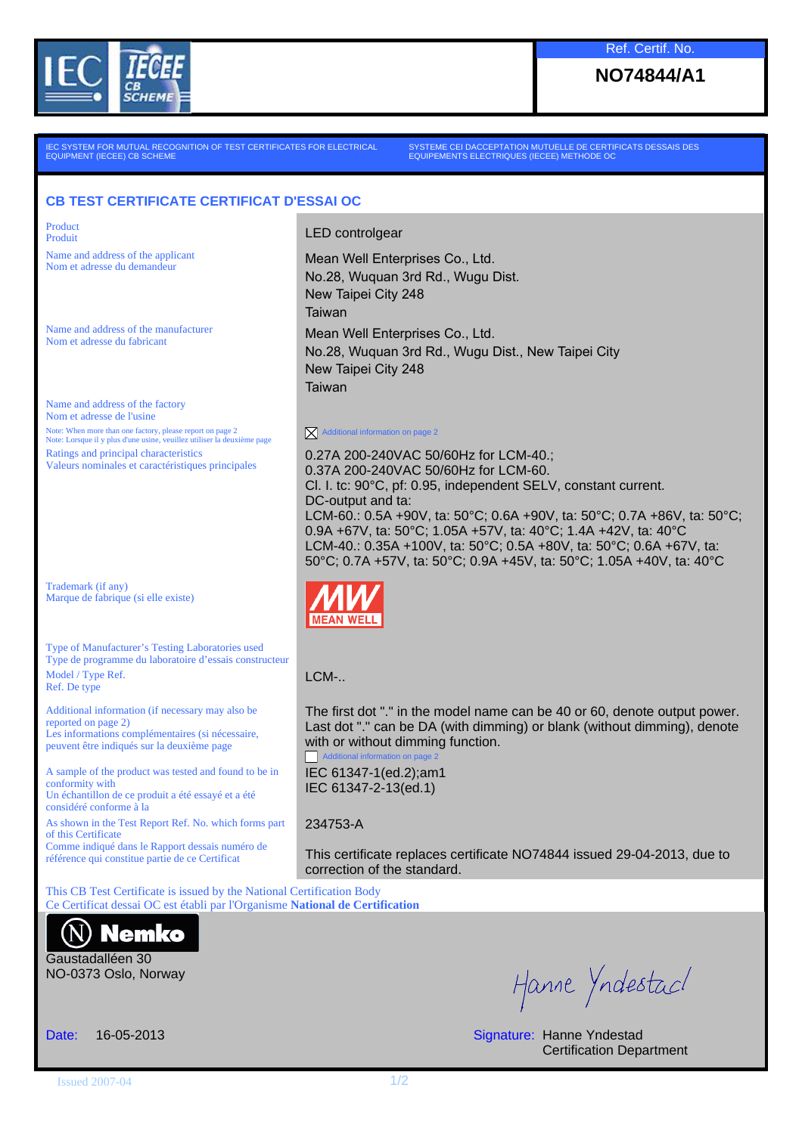

**NO74844/A1**

IEC SYSTEM FOR MUTUAL RECOGNITION OF TEST CERTIFICATES FOR ELECTRICAL EQUIPMENT (IECEE) CB SCHEME

SYSTEME CEI DACCEPTATION MUTUELLE DE CERTIFICATS DESSAIS DES EQUIPEMENTS ELECTRIQUES (IECEE) METHODE OC

## **CB TEST CERTIFICATE CERTIFICAT D'ESSAI OC**

Product

Name and address of the applicant

Name and address of the manufacturer

Name and address of the factory Nom et adresse de l'usine Note: When more than one factory, please report on page 2 Note: Lorsque il y plus d'une usine, veuillez utiliser la deuxième page Ratings and principal characteristics Valeurs nominales et caractéristiques principales

Trademark (if any) Marque de fabrique (si elle existe)

Type of Manufacturer's Testing Laboratories used Type de programme du laboratoire d'essais constructeur Model / Type Ref. Ref. De type

Additional information (if necessary may also be reported on page 2) Les informations complémentaires (si nécessaire, peuvent être indiqués sur la deuxième page

A sample of the product was tested and found to be in conformity with Un échantillon de ce produit a été essayé et a été considéré conforme à la

As shown in the Test Report Ref. No. which forms part of this Certificate Comme indiqué dans le Rapport dessais numéro de référence qui constitue partie de ce Certificat

Product<br>Produit Produit

Name and address of the applicant<br>
Nom et adresse du demandeur<br>
Mean Well Enterprises Co., Ltd. No.28, Wuquan 3rd Rd., Wugu Dist. New Taipei City 248 Taiwan Name and address of the manufacturer<br>Nom et adresse du fabricant<br>
Nom et adresse du fabricant No.28, Wuquan 3rd Rd., Wugu Dist., New Taipei City New Taipei City 248 Taiwan

 $\overline{\mathsf{X}}$  Additional information on page 2

0.27A 200-240VAC 50/60Hz for LCM-40.; 0.37A 200-240VAC 50/60Hz for LCM-60. Cl. I. tc: 90°C, pf: 0.95, independent SELV, constant current. DC-output and ta: LCM-60.: 0.5A +90V, ta: 50°C; 0.6A +90V, ta: 50°C; 0.7A +86V, ta: 50°C; 0.9A +67V, ta: 50°C; 1.05A +57V, ta: 40°C; 1.4A +42V, ta: 40°C LCM-40.: 0.35A +100V, ta: 50°C; 0.5A +80V, ta: 50°C; 0.6A +67V, ta: 50°C; 0.7A +57V, ta: 50°C; 0.9A +45V, ta: 50°C; 1.05A +40V, ta: 40°C



LCM-..

The first dot "." in the model name can be 40 or 60, denote output power. Last dot "." can be DA (with dimming) or blank (without dimming), denote with or without dimming function. **Additional inform** 

IEC 61347-1(ed.2);am1 IEC 61347-2-13(ed.1)

## 234753-A

This certificate replaces certificate NO74844 issued 29-04-2013, due to correction of the standard.

This CB Test Certificate is issued by the National Certification Body Ce Certificat dessai OC est établi par l'Organisme **National de Certification**



Gaustadalléen 30 NO-0373 Oslo, Norway

Hanne Yndestac/

Date: 16-05-2013 **Signature: Hanne Yndestad** Certification Department